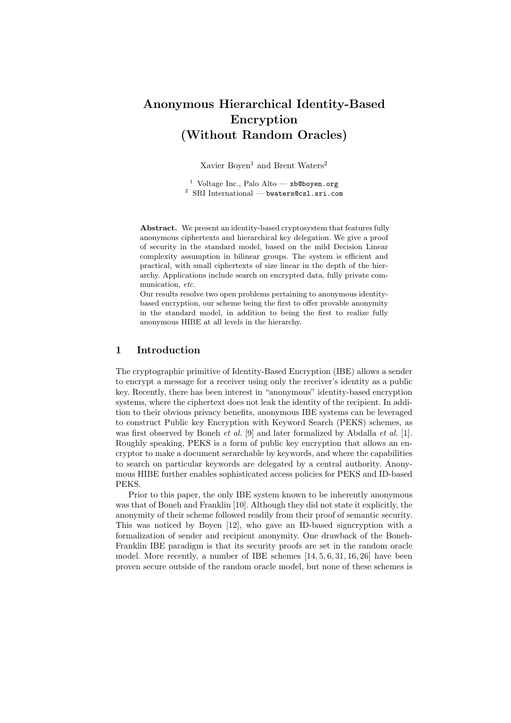# Anonymous Hierarchical Identity-Based Encryption (Without Random Oracles)

Xavier Boyen<sup>1</sup> and Brent Waters<sup>2</sup>

<sup>1</sup> Voltage Inc., Palo Alto — xb@boyen.org <sup>2</sup> SRI International — bwaters@csl.sri.com

Abstract. We present an identity-based cryptosystem that features fully anonymous ciphertexts and hierarchical key delegation. We give a proof of security in the standard model, based on the mild Decision Linear complexity assumption in bilinear groups. The system is efficient and practical, with small ciphertexts of size linear in the depth of the hierarchy. Applications include search on encrypted data, fully private communication, etc.

Our results resolve two open problems pertaining to anonymous identitybased encryption, our scheme being the first to offer provable anonymity in the standard model, in addition to being the first to realize fully anonymous HIBE at all levels in the hierarchy.

# 1 Introduction

The cryptographic primitive of Identity-Based Encryption (IBE) allows a sender to encrypt a message for a receiver using only the receiver's identity as a public key. Recently, there has been interest in "anonymous" identity-based encryption systems, where the ciphertext does not leak the identity of the recipient. In addition to their obvious privacy benefits, anonymous IBE systems can be leveraged to construct Public key Encryption with Keyword Search (PEKS) schemes, as was first observed by Boneh *et al.* [9] and later formalized by Abdalla *et al.* [1]. Roughly speaking, PEKS is a form of public key encryption that allows an encryptor to make a document serarchable by keywords, and where the capabilities to search on particular keywords are delegated by a central authority. Anonymous HIBE further enables sophisticated access policies for PEKS and ID-based PEKS.

Prior to this paper, the only IBE system known to be inherently anonymous was that of Boneh and Franklin [10]. Although they did not state it explicitly, the anonymity of their scheme followed readily from their proof of semantic security. This was noticed by Boyen [12], who gave an ID-based signcryption with a formalization of sender and recipient anonymity. One drawback of the Boneh-Franklin IBE paradigm is that its security proofs are set in the random oracle model. More recently, a number of IBE schemes  $[14, 5, 6, 31, 16, 26]$  have been proven secure outside of the random oracle model, but none of these schemes is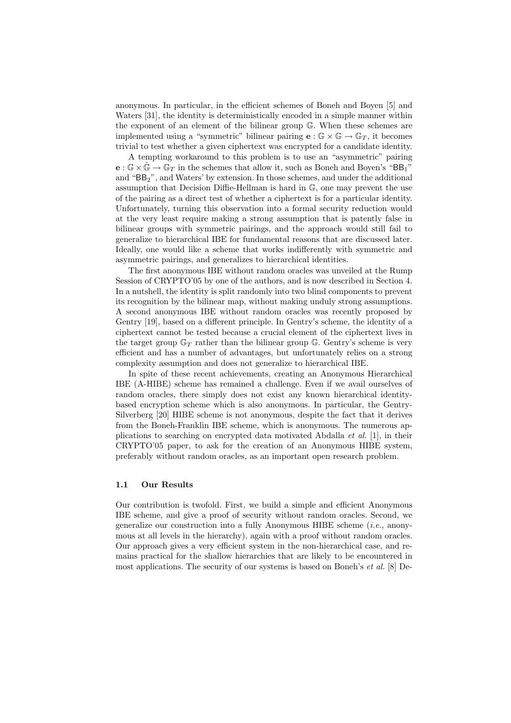anonymous. In particular, in the efficient schemes of Boneh and Boyen [5] and Waters [31], the identity is deterministically encoded in a simple manner within the exponent of an element of the bilinear group G. When these schemes are implemented using a "symmetric" bilinear pairing  $e : \mathbb{G} \times \mathbb{G} \to \mathbb{G}_T$ , it becomes trivial to test whether a given ciphertext was encrypted for a candidate identity.

A tempting workaround to this problem is to use an "asymmetric" pairing  $\mathbf{e} : \mathbb{G} \times \hat{\mathbb{G}} \to \mathbb{G}_T$  in the schemes that allow it, such as Boneh and Boyen's "BB<sub>1</sub>" and "BB2", and Waters' by extension. In those schemes, and under the additional assumption that Decision Diffie-Hellman is hard in G, one may prevent the use of the pairing as a direct test of whether a ciphertext is for a particular identity. Unfortunately, turning this observation into a formal security reduction would at the very least require making a strong assumption that is patently false in bilinear groups with symmetric pairings, and the approach would still fail to generalize to hierarchical IBE for fundamental reasons that are discussed later. Ideally, one would like a scheme that works indifferently with symmetric and asymmetric pairings, and generalizes to hierarchical identities.

The first anonymous IBE without random oracles was unveiled at the Rump Session of CRYPTO'05 by one of the authors, and is now described in Section 4. In a nutshell, the identity is split randomly into two blind components to prevent its recognition by the bilinear map, without making unduly strong assumptions. A second anonymous IBE without random oracles was recently proposed by Gentry [19], based on a different principle. In Gentry's scheme, the identity of a ciphertext cannot be tested because a crucial element of the ciphertext lives in the target group  $\mathbb{G}_T$  rather than the bilinear group  $\mathbb{G}$ . Gentry's scheme is very efficient and has a number of advantages, but unfortunately relies on a strong complexity assumption and does not generalize to hierarchical IBE.

In spite of these recent achievements, creating an Anonymous Hierarchical IBE (A-HIBE) scheme has remained a challenge. Even if we avail ourselves of random oracles, there simply does not exist any known hierarchical identitybased encryption scheme which is also anonymous. In particular, the Gentry-Silverberg [20] HIBE scheme is not anonymous, despite the fact that it derives from the Boneh-Franklin IBE scheme, which is anonymous. The numerous applications to searching on encrypted data motivated Abdalla et al. [1], in their CRYPTO'05 paper, to ask for the creation of an Anonymous HIBE system, preferably without random oracles, as an important open research problem.

# 1.1 Our Results

Our contribution is twofold. First, we build a simple and efficient Anonymous IBE scheme, and give a proof of security without random oracles. Second, we generalize our construction into a fully Anonymous HIBE scheme  $(i.e.,$  anonymous at all levels in the hierarchy), again with a proof without random oracles. Our approach gives a very efficient system in the non-hierarchical case, and remains practical for the shallow hierarchies that are likely to be encountered in most applications. The security of our systems is based on Boneh's  $et al. [8]$  De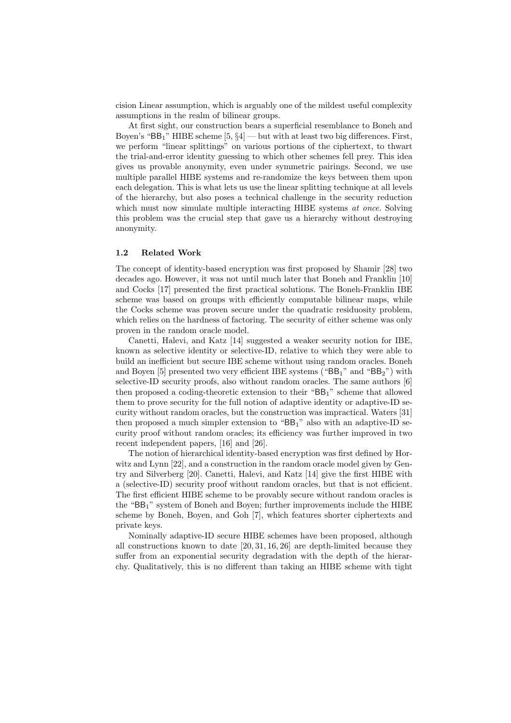cision Linear assumption, which is arguably one of the mildest useful complexity assumptions in the realm of bilinear groups.

At first sight, our construction bears a superficial resemblance to Boneh and Boyen's "BB<sub>1</sub>" HIBE scheme  $[5, \S4]$  — but with at least two big differences. First, we perform "linear splittings" on various portions of the ciphertext, to thwart the trial-and-error identity guessing to which other schemes fell prey. This idea gives us provable anonymity, even under symmetric pairings. Second, we use multiple parallel HIBE systems and re-randomize the keys between them upon each delegation. This is what lets us use the linear splitting technique at all levels of the hierarchy, but also poses a technical challenge in the security reduction which must now simulate multiple interacting HIBE systems at once. Solving this problem was the crucial step that gave us a hierarchy without destroying anonymity.

#### 1.2 Related Work

The concept of identity-based encryption was first proposed by Shamir [28] two decades ago. However, it was not until much later that Boneh and Franklin [10] and Cocks [17] presented the first practical solutions. The Boneh-Franklin IBE scheme was based on groups with efficiently computable bilinear maps, while the Cocks scheme was proven secure under the quadratic residuosity problem, which relies on the hardness of factoring. The security of either scheme was only proven in the random oracle model.

Canetti, Halevi, and Katz [14] suggested a weaker security notion for IBE, known as selective identity or selective-ID, relative to which they were able to build an inefficient but secure IBE scheme without using random oracles. Boneh and Boyen [5] presented two very efficient IBE systems (" $BB_1$ " and " $BB_2$ ") with selective-ID security proofs, also without random oracles. The same authors [6] then proposed a coding-theoretic extension to their "BB1" scheme that allowed them to prove security for the full notion of adaptive identity or adaptive-ID security without random oracles, but the construction was impractical. Waters [31] then proposed a much simpler extension to " $BB_1$ " also with an adaptive-ID security proof without random oracles; its efficiency was further improved in two recent independent papers, [16] and [26].

The notion of hierarchical identity-based encryption was first defined by Horwitz and Lynn [22], and a construction in the random oracle model given by Gentry and Silverberg [20]. Canetti, Halevi, and Katz [14] give the first HIBE with a (selective-ID) security proof without random oracles, but that is not efficient. The first efficient HIBE scheme to be provably secure without random oracles is the "BB1" system of Boneh and Boyen; further improvements include the HIBE scheme by Boneh, Boyen, and Goh [7], which features shorter ciphertexts and private keys.

Nominally adaptive-ID secure HIBE schemes have been proposed, although all constructions known to date [20, 31, 16, 26] are depth-limited because they suffer from an exponential security degradation with the depth of the hierarchy. Qualitatively, this is no different than taking an HIBE scheme with tight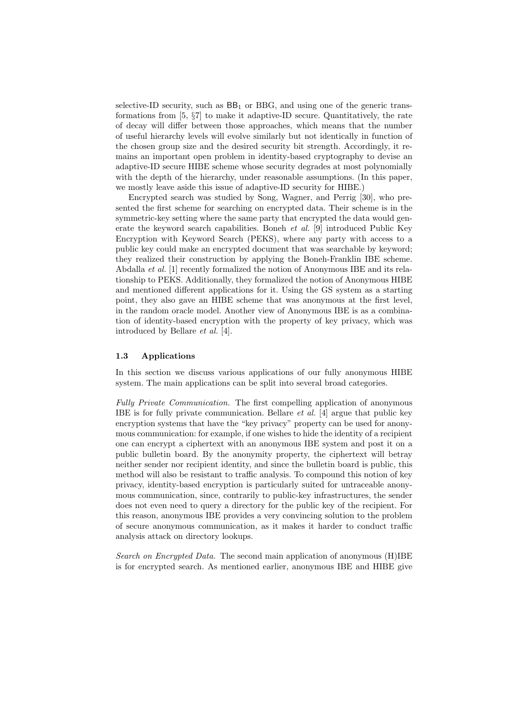selective-ID security, such as  $BB<sub>1</sub>$  or BBG, and using one of the generic transformations from  $[5, \S7]$  to make it adaptive-ID secure. Quantitatively, the rate of decay will differ between those approaches, which means that the number of useful hierarchy levels will evolve similarly but not identically in function of the chosen group size and the desired security bit strength. Accordingly, it remains an important open problem in identity-based cryptography to devise an adaptive-ID secure HIBE scheme whose security degrades at most polynomially with the depth of the hierarchy, under reasonable assumptions. (In this paper, we mostly leave aside this issue of adaptive-ID security for HIBE.)

Encrypted search was studied by Song, Wagner, and Perrig [30], who presented the first scheme for searching on encrypted data. Their scheme is in the symmetric-key setting where the same party that encrypted the data would generate the keyword search capabilities. Boneh et al. [9] introduced Public Key Encryption with Keyword Search (PEKS), where any party with access to a public key could make an encrypted document that was searchable by keyword; they realized their construction by applying the Boneh-Franklin IBE scheme. Abdalla et al. [1] recently formalized the notion of Anonymous IBE and its relationship to PEKS. Additionally, they formalized the notion of Anonymous HIBE and mentioned different applications for it. Using the GS system as a starting point, they also gave an HIBE scheme that was anonymous at the first level, in the random oracle model. Another view of Anonymous IBE is as a combination of identity-based encryption with the property of key privacy, which was introduced by Bellare et al. [4].

### 1.3 Applications

In this section we discuss various applications of our fully anonymous HIBE system. The main applications can be split into several broad categories.

Fully Private Communication. The first compelling application of anonymous IBE is for fully private communication. Bellare et al. [4] argue that public key encryption systems that have the "key privacy" property can be used for anonymous communication: for example, if one wishes to hide the identity of a recipient one can encrypt a ciphertext with an anonymous IBE system and post it on a public bulletin board. By the anonymity property, the ciphertext will betray neither sender nor recipient identity, and since the bulletin board is public, this method will also be resistant to traffic analysis. To compound this notion of key privacy, identity-based encryption is particularly suited for untraceable anonymous communication, since, contrarily to public-key infrastructures, the sender does not even need to query a directory for the public key of the recipient. For this reason, anonymous IBE provides a very convincing solution to the problem of secure anonymous communication, as it makes it harder to conduct traffic analysis attack on directory lookups.

Search on Encrypted Data. The second main application of anonymous (H)IBE is for encrypted search. As mentioned earlier, anonymous IBE and HIBE give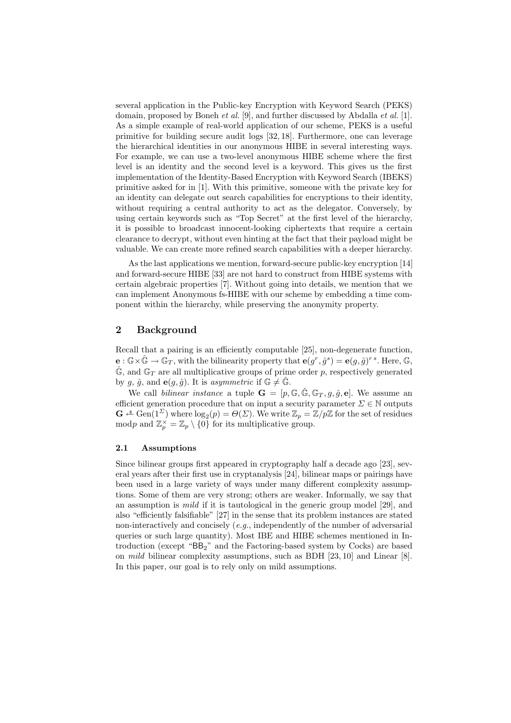several application in the Public-key Encryption with Keyword Search (PEKS) domain, proposed by Boneh et al. [9], and further discussed by Abdalla et al. [1]. As a simple example of real-world application of our scheme, PEKS is a useful primitive for building secure audit logs [32, 18]. Furthermore, one can leverage the hierarchical identities in our anonymous HIBE in several interesting ways. For example, we can use a two-level anonymous HIBE scheme where the first level is an identity and the second level is a keyword. This gives us the first implementation of the Identity-Based Encryption with Keyword Search (IBEKS) primitive asked for in [1]. With this primitive, someone with the private key for an identity can delegate out search capabilities for encryptions to their identity, without requiring a central authority to act as the delegator. Conversely, by using certain keywords such as "Top Secret" at the first level of the hierarchy, it is possible to broadcast innocent-looking ciphertexts that require a certain clearance to decrypt, without even hinting at the fact that their payload might be valuable. We can create more refined search capabilities with a deeper hierarchy.

As the last applications we mention, forward-secure public-key encryption [14] and forward-secure HIBE [33] are not hard to construct from HIBE systems with certain algebraic properties [7]. Without going into details, we mention that we can implement Anonymous fs-HIBE with our scheme by embedding a time component within the hierarchy, while preserving the anonymity property.

## 2 Background

Recall that a pairing is an efficiently computable [25], non-degenerate function,  $\mathbf{e}: \mathbb{G} \times \hat{\mathbb{G}} \to \mathbb{G}_T$ , with the bilinearity property that  $\mathbf{e}(g^r, \hat{g}^s) = \mathbf{e}(g, \hat{g})^{r s}$ . Here,  $\mathbb{G}$ ,  $\hat{\mathbb{G}}$ , and  $\mathbb{G}_T$  are all multiplicative groups of prime order p, respectively generated by g,  $\hat{g}$ , and  $e(g, \hat{g})$ . It is asymmetric if  $\mathbb{G} \neq \hat{\mathbb{G}}$ .

We call *bilinear instance* a tuple  $\mathbf{G} = [p, \mathbb{G}, \hat{\mathbb{G}}, \mathbb{G}_T, g, \hat{g}, \mathbf{e}]$ . We assume an efficient generation procedure that on input a security parameter  $\Sigma \in \mathbb{N}$  outputs  $\mathbf{G} \triangleq \text{Gen}(1^{\Sigma})$  where  $\log_2(p) = \Theta(\Sigma)$ . We write  $\mathbb{Z}_p = \mathbb{Z}/p\mathbb{Z}$  for the set of residues modp and  $\mathbb{Z}_p^{\times} = \mathbb{Z}_p \setminus \{0\}$  for its multiplicative group.

#### 2.1 Assumptions

Since bilinear groups first appeared in cryptography half a decade ago [23], several years after their first use in cryptanalysis [24], bilinear maps or pairings have been used in a large variety of ways under many different complexity assumptions. Some of them are very strong; others are weaker. Informally, we say that an assumption is mild if it is tautological in the generic group model [29], and also "efficiently falsifiable" [27] in the sense that its problem instances are stated non-interactively and concisely (e.g., independently of the number of adversarial queries or such large quantity). Most IBE and HIBE schemes mentioned in Introduction (except " $BB_2$ " and the Factoring-based system by Cocks) are based on mild bilinear complexity assumptions, such as BDH [23, 10] and Linear [8]. In this paper, our goal is to rely only on mild assumptions.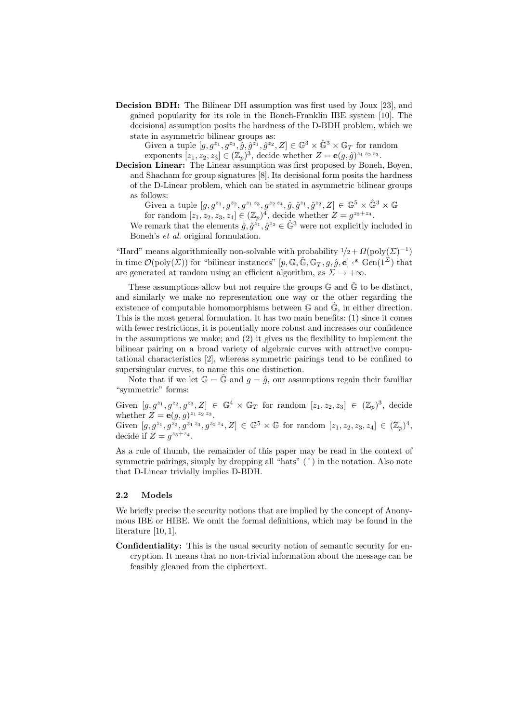Decision BDH: The Bilinear DH assumption was first used by Joux [23], and gained popularity for its role in the Boneh-Franklin IBE system [10]. The decisional assumption posits the hardness of the D-BDH problem, which we state in asymmetric bilinear groups as:

Given a tuple  $[g, g^{z_1}, g^{z_3}, \hat{g}, \hat{g}^{z_1}, \hat{g}^{z_2}, Z] \in \mathbb{G}^3 \times \hat{\mathbb{G}}^3 \times \mathbb{G}_T$  for random exponents  $[z_1, z_2, z_3] \in (\mathbb{Z}_p)^3$ , decide whether  $Z = \mathbf{e}(g, \hat{g})^{z_1 z_2 z_3}$ .

- Decision Linear: The Linear assumption was first proposed by Boneh, Boyen, and Shacham for group signatures [8]. Its decisional form posits the hardness of the D-Linear problem, which can be stated in asymmetric bilinear groups as follows:
	- Given a tuple  $[g, g^{z_1}, g^{z_2}, g^{z_1\,z_3}, g^{z_2\,z_4}, \hat{g}, \hat{g}^{z_1}, \hat{g}^{z_2}, Z] \in \mathbb{G}^5 \times \hat{\mathbb{G}}^3 \times \mathbb{G}^3$ for random  $[z_1, z_2, z_3, z_4] \in (\mathbb{Z}_p)^4$ , decide whether  $Z = g^{z_3 + z_4}$ .

We remark that the elements  $\hat{g}, \hat{g}^{z_1}, \hat{g}^{z_2} \in \hat{\mathbb{G}}^3$  were not explicitly included in Boneh's et al. original formulation.

"Hard" means algorithmically non-solvable with probability  $1/2 + \Omega(\text{poly}(\Sigma)^{-1})$ in time  $\mathcal{O}(\text{poly}(\Sigma))$  for "bilinear instances"  $[p, \mathbb{G}, \mathbb{G}_T, q, \hat{q}, \mathbf{e}] \notin \text{Gen}(1^{\Sigma})$  that are generated at random using an efficient algorithm, as  $\Sigma \rightarrow +\infty$ .

These assumptions allow but not require the groups  $\mathbb{G}$  and  $\hat{\mathbb{G}}$  to be distinct, and similarly we make no representation one way or the other regarding the existence of computable homomorphisms between  $\mathbb{G}$  and  $\mathbb{G}$ , in either direction. This is the most general formulation. It has two main benefits: (1) since it comes with fewer restrictions, it is potentially more robust and increases our confidence in the assumptions we make; and (2) it gives us the flexibility to implement the bilinear pairing on a broad variety of algebraic curves with attractive computational characteristics [2], whereas symmetric pairings tend to be confined to supersingular curves, to name this one distinction.

Note that if we let  $\mathbb{G} = \hat{\mathbb{G}}$  and  $g = \hat{g}$ , our assumptions regain their familiar "symmetric" forms:

Given  $[g, g^{z_1}, g^{z_2}, g^{z_3}, Z] \in \mathbb{G}^4 \times \mathbb{G}_T$  for random  $[z_1, z_2, z_3] \in (\mathbb{Z}_p)^3$ , decide whether  $Z = e(g, g)^{z_1 z_2 z_3}$ . Given  $[g, g^{z_1}, g^{z_2}, g^{z_1\,z_3}, g^{z_2\,z_4}, Z] \in \mathbb{G}^5 \times \mathbb{G}$  for random  $[z_1, z_2, z_3, z_4] \in (\mathbb{Z}_p)^4$ , decide if  $Z = g^{z_3 + z_4}$ .

As a rule of thumb, the remainder of this paper may be read in the context of symmetric pairings, simply by dropping all "hats" (^) in the notation. Also note that D-Linear trivially implies D-BDH.

#### 2.2 Models

We briefly precise the security notions that are implied by the concept of Anonymous IBE or HIBE. We omit the formal definitions, which may be found in the literature [10, 1].

Confidentiality: This is the usual security notion of semantic security for encryption. It means that no non-trivial information about the message can be feasibly gleaned from the ciphertext.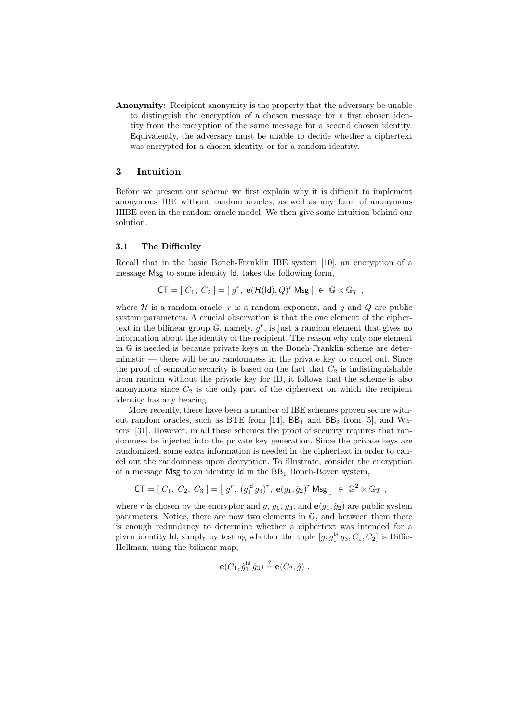Anonymity: Recipient anonymity is the property that the adversary be unable to distinguish the encryption of a chosen message for a first chosen identity from the encryption of the same message for a second chosen identity. Equivalently, the adversary must be unable to decide whether a ciphertext was encrypted for a chosen identity, or for a random identity.

# 3 Intuition

Before we present our scheme we first explain why it is difficult to implement anonymous IBE without random oracles, as well as any form of anonymous HIBE even in the random oracle model. We then give some intuition behind our solution.

#### 3.1 The Difficulty

Recall that in the basic Boneh-Franklin IBE system [10], an encryption of a message Msg to some identity Id, takes the following form,

$$
\mathsf{CT} = [C_1, C_2] = [g^r, e(\mathcal{H}(\mathsf{Id}), Q)^r \mathsf{Msg}] \in \mathbb{G} \times \mathbb{G}_T,
$$

where  $\mathcal H$  is a random oracle, r is a random exponent, and g and Q are public system parameters. A crucial observation is that the one element of the ciphertext in the bilinear group  $\mathbb{G}$ , namely,  $g^r$ , is just a random element that gives no information about the identity of the recipient. The reason why only one element in G is needed is because private keys in the Boneh-Franklin scheme are deterministic — there will be no randomness in the private key to cancel out. Since the proof of semantic security is based on the fact that  $C_2$  is indistinguishable from random without the private key for ID, it follows that the scheme is also anonymous since  $C_2$  is the only part of the ciphertext on which the recipient identity has any bearing.

More recently, there have been a number of IBE schemes proven secure without random oracles, such as BTE from  $[14]$ ,  $BB_1$  and  $BB_2$  from  $[5]$ , and Waters' [31]. However, in all these schemes the proof of security requires that randomness be injected into the private key generation. Since the private keys are randomized, some extra information is needed in the ciphertext in order to cancel out the randomness upon decryption. To illustrate, consider the encryption of a message Msg to an identity  $Id$  in the  $BB<sub>1</sub>$  Boneh-Boyen system,

$$
\mathsf{CT} = [\ C_1, \ C_2, \ C_3 \ ] = \left[\ g^r, \ (g_1^{\mathsf{Id}}\, g_3)^r, \ \mathbf{e}(g_1, \hat{g}_2)^r \ \mathsf{Msg} \ \right] \ \in \ \mathbb{G}^2 \times \mathbb{G}_T \ ,
$$

where r is chosen by the encryptor and g,  $g_1$ ,  $g_3$ , and  $\mathbf{e}(g_1, \hat{g}_2)$  are public system parameters. Notice, there are now two elements in  $\mathbb{G}$ , and between them there is enough redundancy to determine whether a ciphertext was intended for a given identity ld, simply by testing whether the tuple  $[g, g_1^{\text{ld}} g_3, C_1, C_2]$  is Diffie-Hellman, using the bilinear map,

$$
\mathbf{e}(C_1, \hat{g}_1^{\mathsf{Id}} \,\hat{g}_3) \stackrel{?}{=} \mathbf{e}(C_2, \hat{g}) \ .
$$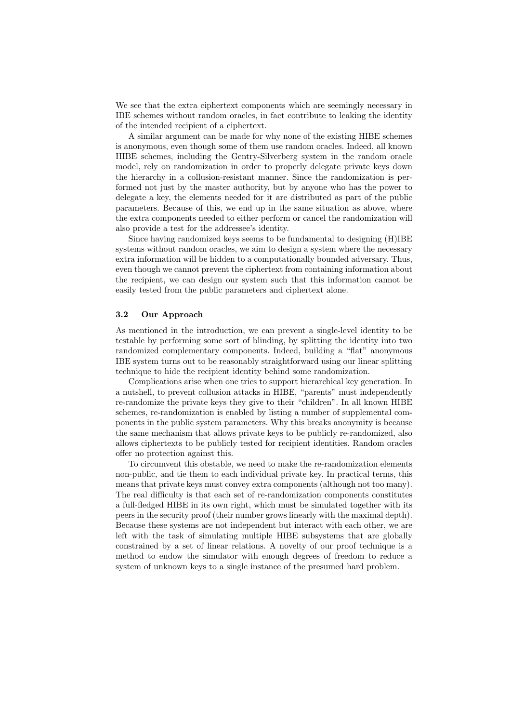We see that the extra ciphertext components which are seemingly necessary in IBE schemes without random oracles, in fact contribute to leaking the identity of the intended recipient of a ciphertext.

A similar argument can be made for why none of the existing HIBE schemes is anonymous, even though some of them use random oracles. Indeed, all known HIBE schemes, including the Gentry-Silverberg system in the random oracle model, rely on randomization in order to properly delegate private keys down the hierarchy in a collusion-resistant manner. Since the randomization is performed not just by the master authority, but by anyone who has the power to delegate a key, the elements needed for it are distributed as part of the public parameters. Because of this, we end up in the same situation as above, where the extra components needed to either perform or cancel the randomization will also provide a test for the addressee's identity.

Since having randomized keys seems to be fundamental to designing (H)IBE systems without random oracles, we aim to design a system where the necessary extra information will be hidden to a computationally bounded adversary. Thus, even though we cannot prevent the ciphertext from containing information about the recipient, we can design our system such that this information cannot be easily tested from the public parameters and ciphertext alone.

#### 3.2 Our Approach

As mentioned in the introduction, we can prevent a single-level identity to be testable by performing some sort of blinding, by splitting the identity into two randomized complementary components. Indeed, building a "flat" anonymous IBE system turns out to be reasonably straightforward using our linear splitting technique to hide the recipient identity behind some randomization.

Complications arise when one tries to support hierarchical key generation. In a nutshell, to prevent collusion attacks in HIBE, "parents" must independently re-randomize the private keys they give to their "children". In all known HIBE schemes, re-randomization is enabled by listing a number of supplemental components in the public system parameters. Why this breaks anonymity is because the same mechanism that allows private keys to be publicly re-randomized, also allows ciphertexts to be publicly tested for recipient identities. Random oracles offer no protection against this.

To circumvent this obstable, we need to make the re-randomization elements non-public, and tie them to each individual private key. In practical terms, this means that private keys must convey extra components (although not too many). The real difficulty is that each set of re-randomization components constitutes a full-fledged HIBE in its own right, which must be simulated together with its peers in the security proof (their number grows linearly with the maximal depth). Because these systems are not independent but interact with each other, we are left with the task of simulating multiple HIBE subsystems that are globally constrained by a set of linear relations. A novelty of our proof technique is a method to endow the simulator with enough degrees of freedom to reduce a system of unknown keys to a single instance of the presumed hard problem.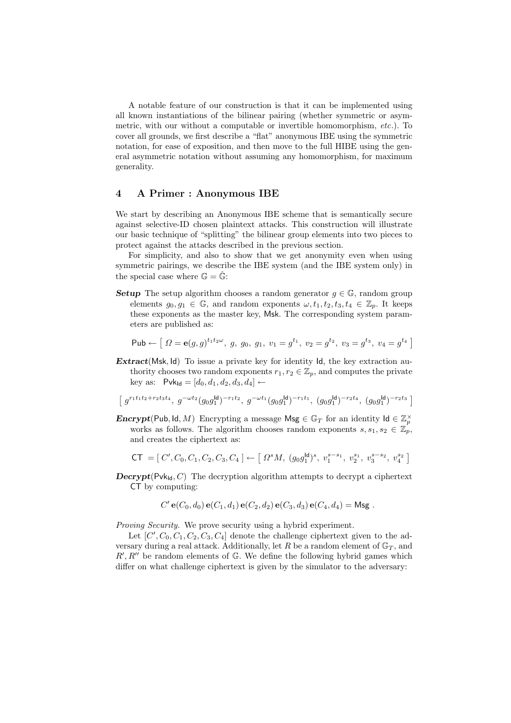A notable feature of our construction is that it can be implemented using all known instantiations of the bilinear pairing (whether symmetric or asymmetric, with our without a computable or invertible homomorphism, etc.). To cover all grounds, we first describe a "flat" anonymous IBE using the symmetric notation, for ease of exposition, and then move to the full HIBE using the general asymmetric notation without assuming any homomorphism, for maximum generality.

# 4 A Primer : Anonymous IBE

We start by describing an Anonymous IBE scheme that is semantically secure against selective-ID chosen plaintext attacks. This construction will illustrate our basic technique of "splitting" the bilinear group elements into two pieces to protect against the attacks described in the previous section.

For simplicity, and also to show that we get anonymity even when using symmetric pairings, we describe the IBE system (and the IBE system only) in the special case where  $\mathbb{G} = \hat{\mathbb{G}}$ :

**Setup** The setup algorithm chooses a random generator  $q \in \mathbb{G}$ , random group elements  $g_0, g_1 \in \mathbb{G}$ , and random exponents  $\omega, t_1, t_2, t_3, t_4 \in \mathbb{Z}_p$ . It keeps these exponents as the master key, Msk. The corresponding system parameters are published as:

$$
\mathsf{Pub} \leftarrow \left[ \ \varOmega = \mathbf{e}(g, g)^{t_1 t_2 \omega}, \ g, \ g_0, \ g_1, \ v_1 = g^{t_1}, \ v_2 = g^{t_2}, \ v_3 = g^{t_3}, \ v_4 = g^{t_4} \ \right]
$$

Extract(Msk, Id) To issue a private key for identity Id, the key extraction authority chooses two random exponents  $r_1, r_2 \in \mathbb{Z}_p$ , and computes the private key as:  $Pvk_{\text{Id}} = [d_0, d_1, d_2, d_3, d_4] \leftarrow$ 

$$
\big[\;g^{r_1t_1t_2+r_2t_3t_4},\;g^{-\omega t_2}(g_0g_1^{\mathsf{Id}})^{-r_1t_2},\;g^{-\omega t_1}(g_0g_1^{\mathsf{Id}})^{-r_1t_1},\; (g_0g_1^{\mathsf{Id}})^{-r_2t_4},\; (g_0g_1^{\mathsf{Id}})^{-r_2t_3}\;\big]
$$

**Encrypt**(Pub, Id, M) Encrypting a message  $\mathsf{Msg} \in \mathbb{G}_T$  for an identity  $\mathsf{Id} \in \mathbb{Z}_p^{\times}$ works as follows. The algorithm chooses random exponents  $s, s_1, s_2 \in \mathbb{Z}_p$ , and creates the ciphertext as:

$$
\mathsf{CT}\ =[\ C',C_0,C_1,C_2,C_3,C_4\ ]\gets\left[\ \varOmega^{s}M,\ (g_0g_1^{\mathsf{Id}})^{s},\ v_1^{s-s_1},\ v_2^{s_1},\ v_3^{s-s_2},\ v_4^{s_2}\ \right]
$$

**Decrypt**( $Pvk_{\text{Id}}, C$ ) The decryption algorithm attempts to decrypt a ciphertext CT by computing:

$$
C' \mathbf{e}(C_0, d_0) \mathbf{e}(C_1, d_1) \mathbf{e}(C_2, d_2) \mathbf{e}(C_3, d_3) \mathbf{e}(C_4, d_4) = \mathsf{Msg}.
$$

Proving Security. We prove security using a hybrid experiment.

Let  $[C', C_0, C_1, C_2, C_3, C_4]$  denote the challenge ciphertext given to the adversary during a real attack. Additionally, let R be a random element of  $\mathbb{G}_T$ , and  $R', R''$  be random elements of  $\mathbb{G}$ . We define the following hybrid games which differ on what challenge ciphertext is given by the simulator to the adversary: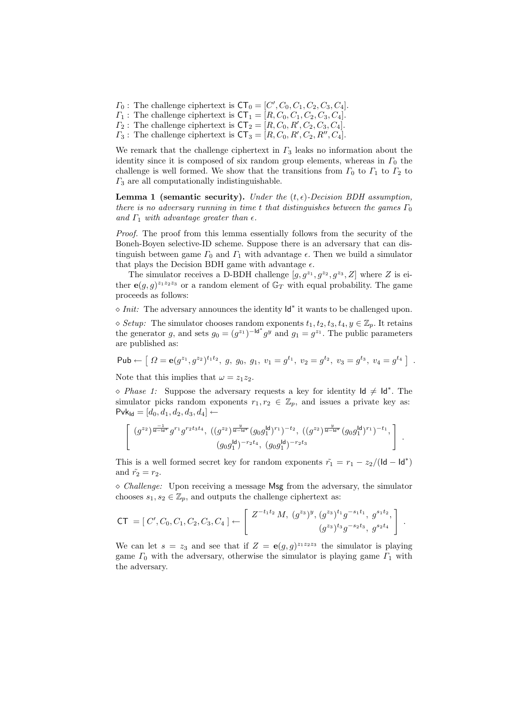- $\Gamma_0$ : The challenge ciphertext is  $\mathsf{CT}_0 = [C', C_0, C_1, C_2, C_3, C_4]$ .
- $\Gamma_1$ : The challenge ciphertext is  $\mathsf{CT}_1 = [R, C_0, C_1, C_2, C_3, C_4]$ .
- $\Gamma_2$ : The challenge ciphertext is  $\mathsf{CT}_2 = [R, C_0, R', C_2, C_3, C_4]$ .
- $\Gamma_3$ : The challenge ciphertext is  $\mathsf{CT}_3 = [R, C_0, R', C_2, R'', C_4].$

We remark that the challenge ciphertext in  $\Gamma_3$  leaks no information about the identity since it is composed of six random group elements, whereas in  $\Gamma_0$  the challenge is well formed. We show that the transitions from  $\Gamma_0$  to  $\Gamma_1$  to  $\Gamma_2$  to  $\Gamma_3$  are all computationally indistinguishable.

**Lemma 1 (semantic security).** Under the  $(t, \epsilon)$ -Decision BDH assumption, there is no adversary running in time t that distinguishes between the games  $\Gamma_0$ and  $\Gamma_1$  with advantage greater than  $\epsilon$ .

Proof. The proof from this lemma essentially follows from the security of the Boneh-Boyen selective-ID scheme. Suppose there is an adversary that can distinguish between game  $\Gamma_0$  and  $\Gamma_1$  with advantage  $\epsilon$ . Then we build a simulator that plays the Decision BDH game with advantage  $\epsilon$ .

The simulator receives a D-BDH challenge  $[g, g^{z_1}, g^{z_2}, g^{z_3}, Z]$  where Z is either  $e(g, g)^{z_1 z_2 z_3}$  or a random element of  $\mathbb{G}_T$  with equal probability. The game proceeds as follows:

 $\Diamond Init:$  The adversary announces the identity  $\mathsf{Id}^*$  it wants to be challenged upon.

 $\Diamond$  Setup: The simulator chooses random exponents  $t_1, t_2, t_3, t_4, y \in \mathbb{Z}_p$ . It retains the generator g, and sets  $g_0 = (g^{z_1})^{-\mathsf{Id}^*} g^y$  and  $g_1 = g^{z_1}$ . The public parameters are published as:

$$
\mathsf{Pub} \leftarrow \left[ \; \Omega = \mathbf{e}(g^{z_1}, g^{z_2})^{t_1 t_2}, \; g, \; g_0, \; g_1, \; v_1 = g^{t_1}, \; v_2 = g^{t_2}, \; v_3 = g^{t_3}, \; v_4 = g^{t_4} \; \right] \; .
$$

Note that this implies that  $\omega = z_1 z_2$ .

 $\diamond$  *Phase 1*: Suppose the adversary requests a key for identity  $\mathsf{Id} \neq \mathsf{Id}^*$ . The simulator picks random exponents  $r_1, r_2 \in \mathbb{Z}_p$ , and issues a private key as:  $Pvk_{Id} = [d_0, d_1, d_2, d_3, d_4] \leftarrow$ 

$$
\begin{bmatrix}\n(g^{z_2})^{\frac{-1}{\vert d - \vert d^*}} g^{r_1} g^{r_2 t_3 t_4}, \, \, ((g^{z_2})^{\frac{y}{\vert d - \vert d^*}} (g_0 g_1^{\vert d})^{r_1})^{-t_2}, \, \, ((g^{z_2})^{\frac{y}{\vert d - \vert d^*}} (g_0 g_1^{\vert d})^{r_1})^{-t_1}, \\
(g_0 g_1^{\vert d})^{-r_2 t_4}, \, \, (g_0 g_1^{\vert d})^{-r_2 t_3}\n\end{bmatrix}\,.
$$

This is a well formed secret key for random exponents  $\tilde{r}_1 = r_1 - z_2/(|\mathbf{d} - \mathbf{d}^*)$ and  $\tilde{r_2} = r_2$ .

 $\Diamond$  *Challenge:* Upon receiving a message Msg from the adversary, the simulator chooses  $s_1, s_2 \in \mathbb{Z}_p$ , and outputs the challenge ciphertext as:

CT = 
$$
[C', C_0, C_1, C_2, C_3, C_4] \leftarrow \begin{bmatrix} Z^{-t_1t_2} M, (g^{z_3})^y, (g^{z_3})^{t_1} g^{-s_1t_1}, g^{s_1t_2}, (g^{z_3})^{t_3} g^{-s_2t_3}, g^{s_2t_4} \end{bmatrix}.
$$

We can let  $s = z_3$  and see that if  $Z = e(g, g)^{z_1 z_2 z_3}$  the simulator is playing game  $\Gamma_0$  with the adversary, otherwise the simulator is playing game  $\Gamma_1$  with the adversary.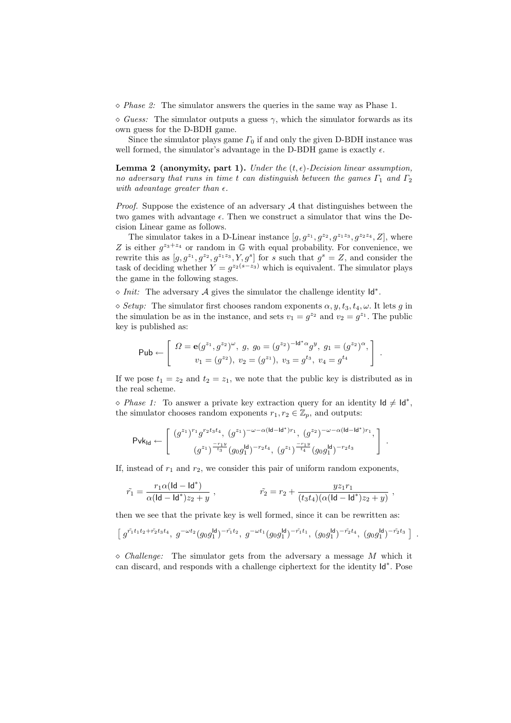$\Diamond$  Phase 2: The simulator answers the queries in the same way as Phase 1.

 $\Diamond$  Guess: The simulator outputs a guess  $\gamma$ , which the simulator forwards as its own guess for the D-BDH game.

Since the simulator plays game  $\Gamma_0$  if and only the given D-BDH instance was well formed, the simulator's advantage in the D-BDH game is exactly  $\epsilon$ .

**Lemma 2 (anonymity, part 1).** Under the  $(t, \epsilon)$ -Decision linear assumption, no adversary that runs in time t can distinguish between the games  $\Gamma_1$  and  $\Gamma_2$ with advantage greater than  $\epsilon$ .

*Proof.* Suppose the existence of an adversary  $A$  that distinguishes between the two games with advantage  $\epsilon$ . Then we construct a simulator that wins the Decision Linear game as follows.

The simulator takes in a D-Linear instance  $[g, g^{z_1}, g^{z_2}, g^{z_1z_3}, g^{z_2z_4}, Z]$ , where Z is either  $g^{z_3+z_4}$  or random in G with equal probability. For convenience, we rewrite this as  $[g, g^{z_1}, g^{z_2}, g^{z_1z_3}, Y, g^s]$  for s such that  $g^s = Z$ , and consider the task of deciding whether  $Y = g^{z_2(s-z_3)}$  which is equivalent. The simulator plays the game in the following stages.

 $\Diamond$  *Init:* The adversary A gives the simulator the challenge identity  $\mathsf{Id}^*$ .

 $\Diamond$  Setup: The simulator first chooses random exponents  $\alpha, y, t_3, t_4, \omega$ . It lets g in the simulation be as in the instance, and sets  $v_1 = g^{z_2}$  and  $v_2 = g^{z_1}$ . The public key is published as:

$$
\mathsf{Pub} \leftarrow \left[ \begin{array}{c} \Omega = \mathbf{e}(g^{z_1}, g^{z_2})^{\omega}, \ g, \ g_0 = (g^{z_2})^{-\mathsf{Id}^* \alpha} g^y, \ g_1 = (g^{z_2})^{\alpha}, \\ v_1 = (g^{z_2}), \ v_2 = (g^{z_1}), \ v_3 = g^{t_3}, \ v_4 = g^{t_4} \end{array} \right] \ .
$$

If we pose  $t_1 = z_2$  and  $t_2 = z_1$ , we note that the public key is distributed as in the real scheme.

 $\diamond$  *Phase 1*: To answer a private key extraction query for an identity  $\mathsf{Id} \neq \mathsf{Id}^*$ , the simulator chooses random exponents  $r_1, r_2 \in \mathbb{Z}_p$ , and outputs:

$$
\mathsf{Pv} \mathsf{k}_{\mathsf{Id}} \gets \left[ \begin{array}{c} (g^{z_1})^{r_1} g^{r_2 t_3 t_4}, (g^{z_1})^{-\omega - \alpha (\mathsf{Id} - \mathsf{Id}^{\ast}) r_1}, (g^{z_2})^{-\omega - \alpha (\mathsf{Id} - \mathsf{Id}^{\ast}) r_1}, \\ (g^{z_1})^{\frac{-r_1 y}{t_3}} (g_0 g_1^{\mathsf{Id}})^{-r_2 t_4}, (g^{z_1})^{\frac{-r_1 y}{t_4}} (g_0 g_1^{\mathsf{Id}})^{-r_2 t_3} \end{array} \right]
$$

.

.

If, instead of  $r_1$  and  $r_2$ , we consider this pair of uniform random exponents,

$$
\tilde{r_1} = \frac{r_1 \alpha (\mathsf{Id} - \mathsf{Id}^*)}{\alpha (\mathsf{Id} - \mathsf{Id}^*) z_2 + y} \ , \qquad \qquad \tilde{r_2} = r_2 + \frac{yz_1 r_1}{(t_3 t_4) (\alpha (\mathsf{Id} - \mathsf{Id}^*) z_2 + y)} \ ,
$$

then we see that the private key is well formed, since it can be rewritten as:

$$
\big[\;g^{\tilde{r_1}t_1t_2+\tilde{r_2}t_3t_4},\;g^{-\omega t_2}(g_0g_1^{\mathsf{Id}})^{-\tilde{r_1}t_2},\;g^{-\omega t_1}(g_0g_1^{\mathsf{Id}})^{-\tilde{r_1}t_1},\;(g_0g_1^{\mathsf{Id}})^{-\tilde{r_2}t_4},\;(g_0g_1^{\mathsf{Id}})^{-\tilde{r_2}t_3}\;\big]
$$

 $\Diamond$  Challenge: The simulator gets from the adversary a message M which it can discard, and responds with a challenge ciphertext for the identity  $\mathsf{Id}^*$ . Pose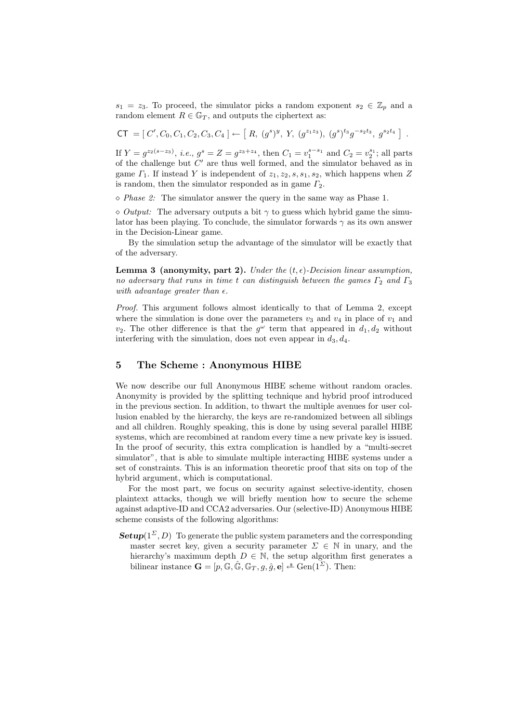$s_1 = z_3$ . To proceed, the simulator picks a random exponent  $s_2 \in \mathbb{Z}_p$  and a random element  $R \in \mathbb{G}_T$ , and outputs the ciphertext as:

CT = 
$$
[C', C_0, C_1, C_2, C_3, C_4] \leftarrow [R, (g^s)^y, Y, (g^{z_1 z_3}), (g^s)^{t_3} g^{-s_2 t_3}, g^{s_2 t_4}]
$$
.

If  $Y = g^{z_2(s-z_3)}$ , *i.e.*,  $g^s = Z = g^{z_3+z_4}$ , then  $C_1 = v_1^{s-s_1}$  and  $C_2 = v_2^{s_1}$ ; all parts of the challenge but  $C'$  are thus well formed, and the simulator behaved as in game  $\Gamma_1$ . If instead Y is independent of  $z_1, z_2, s, s_1, s_2$ , which happens when Z is random, then the simulator responded as in game  $\Gamma_2$ .

 $\Diamond$  *Phase 2*: The simulator answer the query in the same way as Phase 1.

 $\Diamond$  *Output:* The adversary outputs a bit  $\gamma$  to guess which hybrid game the simulator has been playing. To conclude, the simulator forwards  $\gamma$  as its own answer in the Decision-Linear game.

By the simulation setup the advantage of the simulator will be exactly that of the adversary.

**Lemma 3 (anonymity, part 2).** Under the  $(t, \epsilon)$ -Decision linear assumption, no adversary that runs in time t can distinguish between the games  $\Gamma_2$  and  $\Gamma_3$ with advantage greater than  $\epsilon$ .

Proof. This argument follows almost identically to that of Lemma 2, except where the simulation is done over the parameters  $v_3$  and  $v_4$  in place of  $v_1$  and  $v_2$ . The other difference is that the  $g^{\omega}$  term that appeared in  $d_1, d_2$  without interfering with the simulation, does not even appear in  $d_3, d_4$ .

## 5 The Scheme : Anonymous HIBE

We now describe our full Anonymous HIBE scheme without random oracles. Anonymity is provided by the splitting technique and hybrid proof introduced in the previous section. In addition, to thwart the multiple avenues for user collusion enabled by the hierarchy, the keys are re-randomized between all siblings and all children. Roughly speaking, this is done by using several parallel HIBE systems, which are recombined at random every time a new private key is issued. In the proof of security, this extra complication is handled by a "multi-secret simulator", that is able to simulate multiple interacting HIBE systems under a set of constraints. This is an information theoretic proof that sits on top of the hybrid argument, which is computational.

For the most part, we focus on security against selective-identity, chosen plaintext attacks, though we will briefly mention how to secure the scheme against adaptive-ID and CCA2 adversaries. Our (selective-ID) Anonymous HIBE scheme consists of the following algorithms:

**Setup**( $1^{\Sigma}$ , D) To generate the public system parameters and the corresponding master secret key, given a security parameter  $\Sigma \in \mathbb{N}$  in unary, and the hierarchy's maximum depth  $D \in \mathbb{N}$ , the setup algorithm first generates a bilinear instance  $\mathbf{G} = [p, \mathbb{G}, \hat{\mathbb{G}}, \mathbb{G}_T, g, \hat{g}, \mathbf{e}] \triangleq \text{Gen}(1^{\Sigma})$ . Then: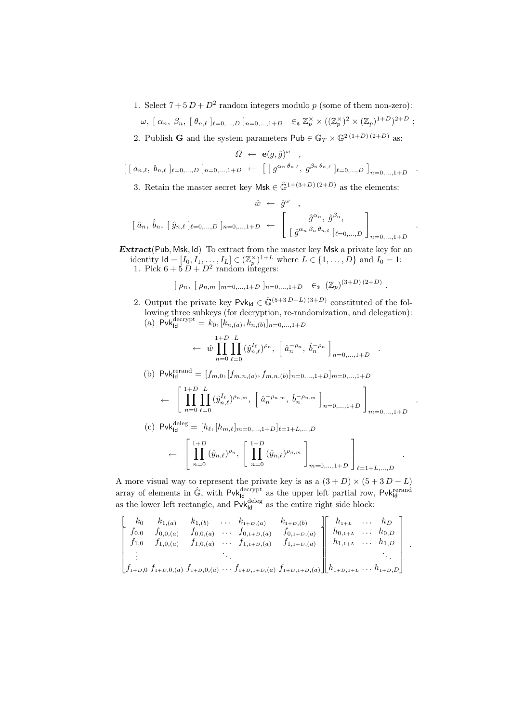1. Select  $7 + 5D + D^2$  random integers modulo p (some of them non-zero):

$$
\omega
$$
,  $[\alpha_n, \beta_n, [\theta_{n,\ell}]_{\ell=0,...,D}]_{n=0,...,1+D} \in_{\mathbb{S}} \mathbb{Z}_p^{\times} \times ((\mathbb{Z}_p^{\times})^2 \times (\mathbb{Z}_p)^{1+D})^{2+D};$ 

2. Publish **G** and the system parameters  $\mathsf{Pub} \in \mathbb{G}_T \times \mathbb{G}^{2(1+D)(2+D)}$  as:

$$
\Omega \leftarrow \mathbf{e}(g, \hat{g})^{\omega},
$$
  

$$
[ [ a_{n,\ell}, b_{n,\ell} ]_{\ell=0,...,D} ]_{n=0,...,1+D} \leftarrow [ [ g^{\alpha_n \theta_{n,\ell}}, g^{\beta_n \theta_{n,\ell}} ]_{\ell=0,...,D} ]_{n=0,...,1+D}
$$

.

.

.

.

.

.

3. Retain the master secret key Msk  $\in \hat{\mathbb{G}}^{1+(3+D)(2+D)}$  as the elements:

$$
\hat{w} \leftarrow \hat{g}^{\omega} ,
$$
\n
$$
[\hat{a}_n, \hat{b}_n, [\hat{y}_{n,\ell}]_{\ell=0,\ldots,D}]_{n=0,\ldots,1+D} \leftarrow \begin{bmatrix} \hat{g}^{\alpha_n}, \hat{g}^{\beta_n}, \\ [\hat{g}^{\alpha_n \beta_n \theta_{n,\ell}}]_{\ell=0,\ldots,D} \end{bmatrix}_{n=0,\ldots,1+D}
$$

Extract(Pub, Msk, Id) To extract from the master key Msk a private key for an identity  $\mathsf{Id} = [I_0, I_1, \ldots, I_L] \in (\mathbb{Z}_p^{\times})^{1+L}$  where  $L \in \{1, \ldots, D\}$  and  $I_0 = 1$ : 1. Pick  $6 + 5D + D^2$  random integers:

$$
\left[\rho_n, \left[\rho_{n,m}\right]_{m=0,\ldots,1+D}\right]_{n=0,\ldots,1+D} \in_{\text{S}} (\mathbb{Z}_p)^{(3+D)(2+D)}
$$

2. Output the private key  $\mathsf{Pvk}_{\mathsf{Id}} \in \hat{\mathbb{G}}^{(5+3D-L)(3+D)}$  constituted of the following three subkeys (for decryption, re-randomization, and delegation): (a)  $\overrightarrow{\text{Pv}}$  $\text{k}_{\text{ld}}^{\text{decrypt}} = k_0, [\hat{k}_{n,(a)}, \hat{k}_{n,(b)}]_{n=0,...,1+D}$ 

$$
\leftarrow \hat{w} \prod_{n=0}^{1+D} \prod_{\ell=0}^{L} (\hat{y}_{n,\ell}^{I_{\ell}})^{\rho_n}, \left[ \hat{a}_n^{-\rho_n}, \hat{b}_n^{-\rho_n} \right]_{n=0,\ldots,1+D}
$$

(b) Pvk<sub>Id</sub> =  $[f_{m,0},[f_{m,n,(a)},f_{m,n,(b)}]_{n=0,...,1+D}]_{m=0,...,1+D}$ 

$$
\leftarrow \left[ \prod_{n=0}^{1+D} \prod_{\ell=0}^{L} (\hat{y}_{n,\ell}^{I_{\ell}})^{\rho_{n,m}}, \left[ \hat{a}_n^{-\rho_{n,m}}, \hat{b}_n^{-\rho_{n,m}} \right]_{n=0,\ldots,1+D} \right]_{m=0,\ldots,1+D}
$$

(c) 
$$
\text{Pvk}_{\text{Id}}^{\text{deleg}} = [h_{\ell}, [h_{m,\ell}]_{m=0,...,1+D}]_{\ell=1+L,...,D}
$$
  

$$
\leftarrow \left[\prod_{n=0}^{1+D} (\hat{y}_{n,\ell})^{\rho_n}, \left[\prod_{n=0}^{1+D} (\hat{y}_{n,\ell})^{\rho_{n,m}}\right]_{m=0,...,1+D}\right]_{\ell=1+L,...,D}
$$

A more visual way to represent the private key is as a  $(3+D) \times (5+3D-L)$ array of elements in  $\mathbb{\hat{G}}$ , with  $\mathsf{Pvk}_{\mathsf{Id}}^{\text{decrypt}}$  as the upper left partial row,  $\mathsf{Pvk}_{\mathsf{Id}}^{\text{rerand}}$  as the lower left rectangle, and  $\mathsf{Pvk}_{\mathsf{Id}}^{\text{deleg}}$  as the entire right side block:

$$
\begin{bmatrix}\nk_0 & k_{1,(a)} & k_{1,(b)} & \dots & k_{1+D,(a)} & k_{1+D,(b)} \\
f_{0,0} & f_{0,0,(a)} & f_{0,0,(a)} & \dots & f_{0,1+D,(a)} & f_{0,1+D,(a)} \\
f_{1,0} & f_{1,0,(a)} & f_{1,0,(a)} & \dots & f_{1,1+D,(a)} & f_{1,1+D,(a)} \\
\vdots & \vdots & \ddots & \vdots & \vdots \\
f_{1+D,0} & f_{1+D,0,(a)} & f_{1+D,0,(a)} & \dots & f_{1+D,1+D,(a)} & f_{1+D,1+D,(a)}\n\end{bmatrix}\n\begin{bmatrix}\nh_{1+L} & \dots & h_D \\
h_{0,1+L} & \dots & h_{0,D} \\
h_{1,1+L} & \dots & h_{1,D} \\
\vdots & \vdots \\
h_{1+D,1+L} & \dots & h_{1+D,D}\n\end{bmatrix}.
$$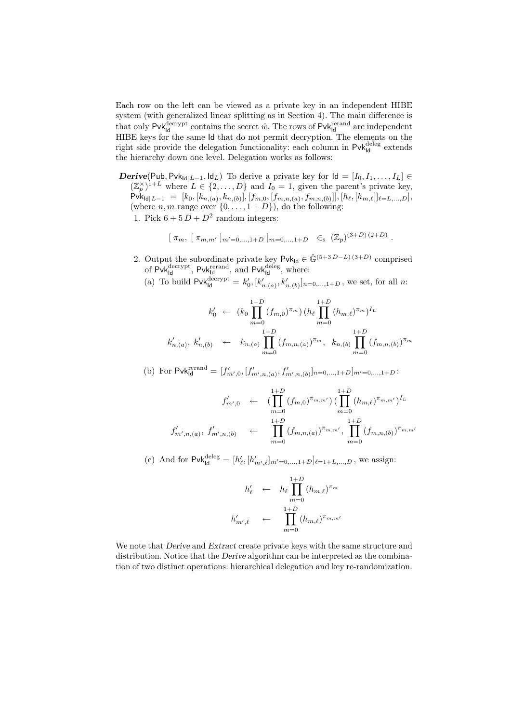Each row on the left can be viewed as a private key in an independent HIBE system (with generalized linear splitting as in Section 4). The main difference is that only  $\mathsf{Pvk}^\text{decrypt}_\mathsf{Id}$  contains the secret  $\hat{w}$ . The rows of  $\mathsf{Pvk}^\text{rerand}_\mathsf{Id}$  are independent HIBE keys for the same Id that do not permit decryption. The elements on the right side provide the delegation functionality: each column in  $\mathsf{Pvk}^{\mathsf{deleg}}_{\mathsf{Id}}$  extends the hierarchy down one level. Delegation works as follows:

Derive(Pub, Pvk<sub>Id|L−1</sub>, Id<sub>L</sub>) To derive a private key for  $\mathsf{Id} = [I_0, I_1, \ldots, I_L] \in$  $(\mathbb{Z}_p^{\times})^{1+L}$  where  $L \in \{2, \ldots, D\}$  and  $I_0 = 1$ , given the parent's private key,  ${\sf Pvk}_{{\sf Id}|L-1} \;=\; [k_0, [k_{n,(a)}, k_{n,(b)}], [f_{m,0}, [f_{m,n,(a)}, f_{m,n,(b)}]], [h_\ell, [h_{m,\ell}]]_{\ell=L,...,D}],$ (where  $n, m$  range over  $\{0, \ldots, 1 + D\}$ ), do the following: 1. Pick  $6 + 5D + D^2$  random integers:

 $[\pi_m, [\pi_{m,m'}]_{m'=0,\dots,1+D}]_{m=0,\dots,1+D} \in_{\text{s}} (\mathbb{Z}_p)^{(3+D)(2+D)}.$ 

- 2. Output the subordinate private key  $\mathsf{Pvk}_{\mathsf{Id}} \in \hat{\mathbb{G}}^{(5+3D-L)(3+D)}$  comprised of Pvk<sup>decrypt</sup>, Pvk<sup>rerand</sup>, and Pvk<sup>deleg</sup>, where:
	- (a) To build  $\mathsf{Pvk}_{\mathsf{Id}}^{\text{derrypt}} = k'_{0}, [k'_{n,(a)}, k'_{n,(b)}]_{n=0,...,1+D}$ , we set, for all n:

$$
k'_{0} \leftarrow (k_{0} \prod_{m=0}^{1+D} (f_{m,0})^{\pi_{m}}) (h_{\ell} \prod_{m=0}^{1+D} (h_{m,\ell})^{\pi_{m}})^{I_{L}}
$$
  

$$
k'_{n,(a)}, k'_{n,(b)} \leftarrow k_{n,(a)} \prod_{m=0}^{1+D} (f_{m,n,(a)})^{\pi_{m}}, k_{n,(b)} \prod_{m=0}^{1+D} (f_{m,n,(b)})^{\pi_{m}}
$$

(b) For  $\mathsf{Pvk}^{\text{rerand}}_{\mathsf{Id}} = [f'_{m',0}, [f'_{m',n,(a)}, f'_{m',n,(b)}]_{n=0,\ldots,1+D}]_{m'=0,\ldots,1+D}$ :

$$
f'_{m',0} \leftarrow \left( \prod_{m=0}^{1+D} (f_{m,0})^{\pi_{m,m'}} \right) \left( \prod_{m=0}^{1+D} (h_{m,\ell})^{\pi_{m,m'}} \right)^{I_L}
$$

$$
f'_{m',n,(a)}, f'_{m',n,(b)} \leftarrow \prod_{m=0}^{1+D} (f_{m,n,(a)})^{\pi_{m,m'}}, \prod_{m=0}^{1+D} (f_{m,n,(b)})^{\pi_{m,m'}}
$$

(c) And for  $\mathsf{Pvk}_{\mathsf{Id}}^{\text{deleg}} = [h'_{\ell}, [h'_{m',\ell}]_{m'=0,\ldots,1+D}]_{\ell=1+L,\ldots,D}$ , we assign:

$$
h'_{\ell} \leftarrow h_{\ell} \prod_{m=0}^{1+D} (h_{m,\ell})^{\pi_m}
$$

$$
h'_{m',\ell} \leftarrow \prod_{m=0}^{1+D} (h_{m,\ell})^{\pi_{m,m'}}
$$

We note that Derive and Extract create private keys with the same structure and distribution. Notice that the Derive algorithm can be interpreted as the combination of two distinct operations: hierarchical delegation and key re-randomization.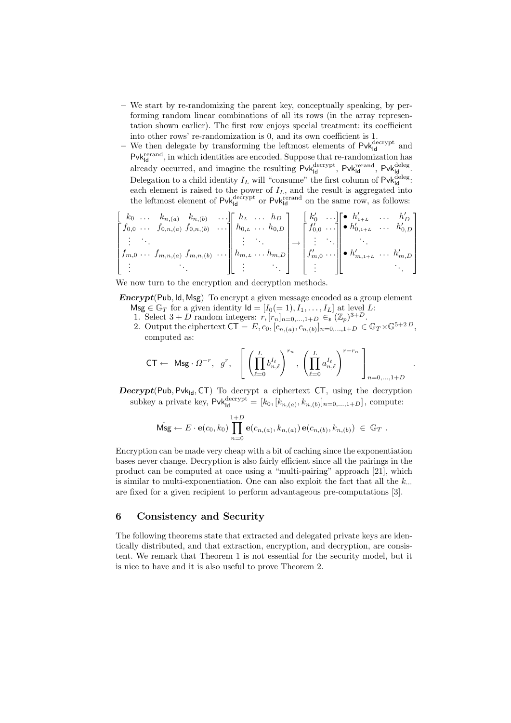- We start by re-randomizing the parent key, conceptually speaking, by performing random linear combinations of all its rows (in the array representation shown earlier). The first row enjoys special treatment: its coefficient into other rows' re-randomization is 0, and its own coefficient is 1.
- We then delegate by transforming the leftmost elements of  $\mathsf{Pvk}_{\mathsf{Id}}^{\mathsf{decrypt}}$  and  $Pvk_{\mathsf{Id}}^{\text{rerand}}$ , in which identities are encoded. Suppose that re-randomization has already occurred, and imagine the resulting  $\mathsf{Pvk}^{\text{decrypt}}_{\mathsf{Id}}$ ,  $\mathsf{Pvk}^{\text{rerand}}_{\mathsf{Id}}$ ,  $\mathsf{Pvk}^{\text{deleg}}_{\mathsf{Id}}$ . Delegation to a child identity  $I_L$  will "consume" the first column of Pvk $_{\mathsf{Id}}^{\mathsf{deleg}}$ : each element is raised to the power of  $I_L$ , and the result is aggregated into the leftmost element of  $\mathsf{Pvk}^\mathrm{decrypt}_\mathsf{Id}$  or  $\mathsf{Pvk}^\mathrm{rerand}_\mathsf{Id}$  on the same row, as follows:

$$
\begin{bmatrix} k_0 & \dots & k_{n,(a)} & k_{n,(b)} & \dots \\ f_{0,0} & \dots & f_{0,n,(a)} & f_{0,n,(b)} & \dots \\ \vdots & \vdots & \vdots & \vdots & \vdots & \vdots \\ f_{m,0} & \dots & f_{m,n,(a)} & f_{m,n,(b)} & \dots \\ \vdots & \vdots & \vdots & \vdots & \vdots & \vdots \\ \vdots & \vdots & \vdots & \vdots & \vdots \\ \end{bmatrix} \rightarrow \begin{bmatrix} k'_0 & \dots \\ f'_{0,0} & \dots \\ \vdots & \vdots \\ f'_{m,0} & \dots \\ \vdots & \vdots \\ \vdots & \vdots \end{bmatrix} \bullet h'_{0,1+L} & \dots & h'_{0,D} \right]
$$

We now turn to the encryption and decryption methods.

- Encrypt(Pub, Id, Msg) To encrypt a given message encoded as a group element Msg  $\in \mathbb{G}_T$  for a given identity  $\mathsf{Id} = [I_0(=1), I_1, \ldots, I_L]$  at level L:
	- 1. Select  $3 + D$  random integers:  $r, [r_n]_{n=0,\dots,1+D} \in {\mathbb{S}}(\mathbb{Z}_p)^{3+D}$ .
	- 2. Output the ciphertext  $\mathsf{CT} = E, c_0, [c_{n,(a)}, c_{n,(b)}]_{n=0,\dots,1+D} \in \mathbb{G}_T \times \mathbb{G}^{5+2D}$ , computed as:

$$
\mathsf{CT} \leftarrow \ \ \mathsf{Msg} \cdot \varOmega^{-r}, \ \ g^r, \quad \Bigg[\left(\prod_{\ell=0}^L b_{n,\ell}^{I_\ell}\right)^{r_n},\ \left(\prod_{\ell=0}^L a_{n,\ell}^{I_\ell}\right)^{r-r_n}\Bigg]_{n=0,\ldots,1+D}
$$

.

Decrypt(Pub, Pvk<sub>Id</sub>, CT) To decrypt a ciphertext CT, using the decryption subkey a private key,  $\mathsf{Pvk}_{\mathsf{Id}}^{\text{decrypt}} = [k_0, [k_{n,(a)}, k_{n,(b)}]_{n=0,\ldots,1+D}]$ , compute:

$$
\hat{\text{Msg}} \leftarrow E \cdot \mathbf{e}(c_0, k_0) \prod_{n=0}^{1+D} \mathbf{e}(c_{n,(a)}, k_{n,(a)}) \mathbf{e}(c_{n,(b)}, k_{n,(b)}) \in \mathbb{G}_T.
$$

Encryption can be made very cheap with a bit of caching since the exponentiation bases never change. Decryption is also fairly efficient since all the pairings in the product can be computed at once using a "multi-pairing" approach [21], which is similar to multi-exponentiation. One can also exploit the fact that all the  $k...$ are fixed for a given recipient to perform advantageous pre-computations [3].

# 6 Consistency and Security

The following theorems state that extracted and delegated private keys are identically distributed, and that extraction, encryption, and decryption, are consistent. We remark that Theorem 1 is not essential for the security model, but it is nice to have and it is also useful to prove Theorem 2.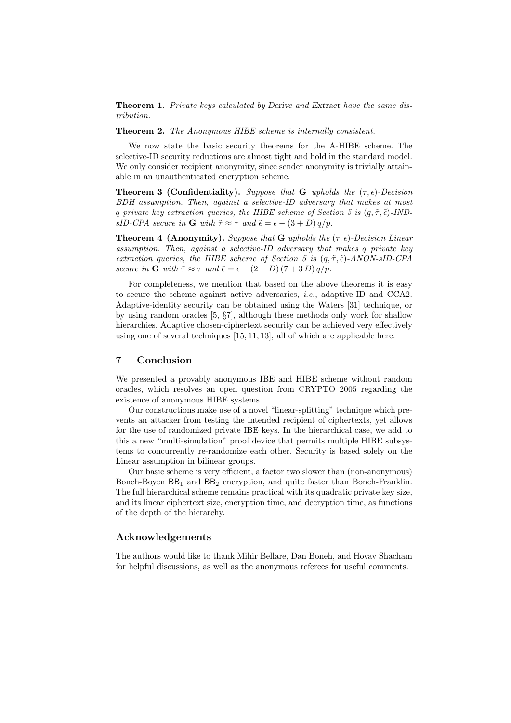Theorem 1. Private keys calculated by Derive and Extract have the same distribution.

Theorem 2. The Anonymous HIBE scheme is internally consistent.

We now state the basic security theorems for the A-HIBE scheme. The selective-ID security reductions are almost tight and hold in the standard model. We only consider recipient anonymity, since sender anonymity is trivially attainable in an unauthenticated encryption scheme.

**Theorem 3 (Confidentiality).** Suppose that **G** upholds the  $(\tau, \epsilon)$ -Decision BDH assumption. Then, against a selective-ID adversary that makes at most q private key extraction queries, the HIBE scheme of Section 5 is  $(q, \tilde{\tau}, \tilde{\epsilon})$ -INDsID-CPA secure in **G** with  $\tilde{\tau} \approx \tau$  and  $\tilde{\epsilon} = \epsilon - (3 + D) q/p$ .

**Theorem 4 (Anonymity).** Suppose that **G** upholds the  $(\tau, \epsilon)$ -Decision Linear assumption. Then, against a selective-ID adversary that makes q private key extraction queries, the HIBE scheme of Section 5 is  $(q, \tilde{\tau}, \tilde{\epsilon})$ -ANON-sID-CPA secure in **G** with  $\tilde{\tau} \approx \tau$  and  $\tilde{\epsilon} = \epsilon - (2 + D)(7 + 3D) q/p$ .

For completeness, we mention that based on the above theorems it is easy to secure the scheme against active adversaries, i.e., adaptive-ID and CCA2. Adaptive-identity security can be obtained using the Waters [31] technique, or by using random oracles [5, §7], although these methods only work for shallow hierarchies. Adaptive chosen-ciphertext security can be achieved very effectively using one of several techniques [15, 11, 13], all of which are applicable here.

## 7 Conclusion

We presented a provably anonymous IBE and HIBE scheme without random oracles, which resolves an open question from CRYPTO 2005 regarding the existence of anonymous HIBE systems.

Our constructions make use of a novel "linear-splitting" technique which prevents an attacker from testing the intended recipient of ciphertexts, yet allows for the use of randomized private IBE keys. In the hierarchical case, we add to this a new "multi-simulation" proof device that permits multiple HIBE subsystems to concurrently re-randomize each other. Security is based solely on the Linear assumption in bilinear groups.

Our basic scheme is very efficient, a factor two slower than (non-anonymous) Boneh-Boyen  $BB_1$  and  $BB_2$  encryption, and quite faster than Boneh-Franklin. The full hierarchical scheme remains practical with its quadratic private key size, and its linear ciphertext size, encryption time, and decryption time, as functions of the depth of the hierarchy.

### Acknowledgements

The authors would like to thank Mihir Bellare, Dan Boneh, and Hovav Shacham for helpful discussions, as well as the anonymous referees for useful comments.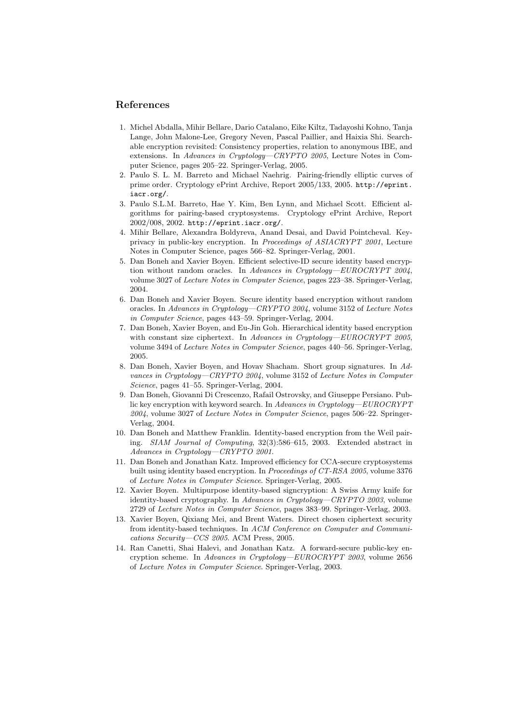# References

- 1. Michel Abdalla, Mihir Bellare, Dario Catalano, Eike Kiltz, Tadayoshi Kohno, Tanja Lange, John Malone-Lee, Gregory Neven, Pascal Paillier, and Haixia Shi. Searchable encryption revisited: Consistency properties, relation to anonymous IBE, and extensions. In Advances in Cryptology—CRYPTO 2005, Lecture Notes in Computer Science, pages 205–22. Springer-Verlag, 2005.
- 2. Paulo S. L. M. Barreto and Michael Naehrig. Pairing-friendly elliptic curves of prime order. Cryptology ePrint Archive, Report 2005/133, 2005. http://eprint. iacr.org/.
- 3. Paulo S.L.M. Barreto, Hae Y. Kim, Ben Lynn, and Michael Scott. Efficient algorithms for pairing-based cryptosystems. Cryptology ePrint Archive, Report 2002/008, 2002. http://eprint.iacr.org/.
- 4. Mihir Bellare, Alexandra Boldyreva, Anand Desai, and David Pointcheval. Keyprivacy in public-key encryption. In Proceedings of ASIACRYPT 2001, Lecture Notes in Computer Science, pages 566–82. Springer-Verlag, 2001.
- 5. Dan Boneh and Xavier Boyen. Efficient selective-ID secure identity based encryption without random oracles. In Advances in Cryptology-EUROCRYPT 2004, volume 3027 of Lecture Notes in Computer Science, pages 223–38. Springer-Verlag, 2004.
- 6. Dan Boneh and Xavier Boyen. Secure identity based encryption without random oracles. In Advances in Cryptology—CRYPTO 2004, volume 3152 of Lecture Notes in Computer Science, pages 443–59. Springer-Verlag, 2004.
- 7. Dan Boneh, Xavier Boyen, and Eu-Jin Goh. Hierarchical identity based encryption with constant size ciphertext. In Advances in Cryptology—EUROCRYPT 2005, volume 3494 of Lecture Notes in Computer Science, pages 440–56. Springer-Verlag, 2005.
- 8. Dan Boneh, Xavier Boyen, and Hovav Shacham. Short group signatures. In Advances in Cryptology—CRYPTO 2004, volume 3152 of Lecture Notes in Computer Science, pages 41–55. Springer-Verlag, 2004.
- 9. Dan Boneh, Giovanni Di Crescenzo, Rafail Ostrovsky, and Giuseppe Persiano. Public key encryption with keyword search. In Advances in Cryptology—EUROCRYPT 2004, volume 3027 of Lecture Notes in Computer Science, pages 506–22. Springer-Verlag, 2004.
- 10. Dan Boneh and Matthew Franklin. Identity-based encryption from the Weil pairing. SIAM Journal of Computing, 32(3):586–615, 2003. Extended abstract in Advances in Cryptology—CRYPTO 2001.
- 11. Dan Boneh and Jonathan Katz. Improved efficiency for CCA-secure cryptosystems built using identity based encryption. In Proceedings of CT-RSA 2005, volume 3376 of Lecture Notes in Computer Science. Springer-Verlag, 2005.
- 12. Xavier Boyen. Multipurpose identity-based signcryption: A Swiss Army knife for identity-based cryptography. In Advances in Cryptology—CRYPTO 2003, volume 2729 of Lecture Notes in Computer Science, pages 383–99. Springer-Verlag, 2003.
- 13. Xavier Boyen, Qixiang Mei, and Brent Waters. Direct chosen ciphertext security from identity-based techniques. In ACM Conference on Computer and Communications  $Security-CCS$  2005. ACM Press, 2005.
- 14. Ran Canetti, Shai Halevi, and Jonathan Katz. A forward-secure public-key encryption scheme. In Advances in Cryptology—EUROCRYPT 2003, volume 2656 of Lecture Notes in Computer Science. Springer-Verlag, 2003.